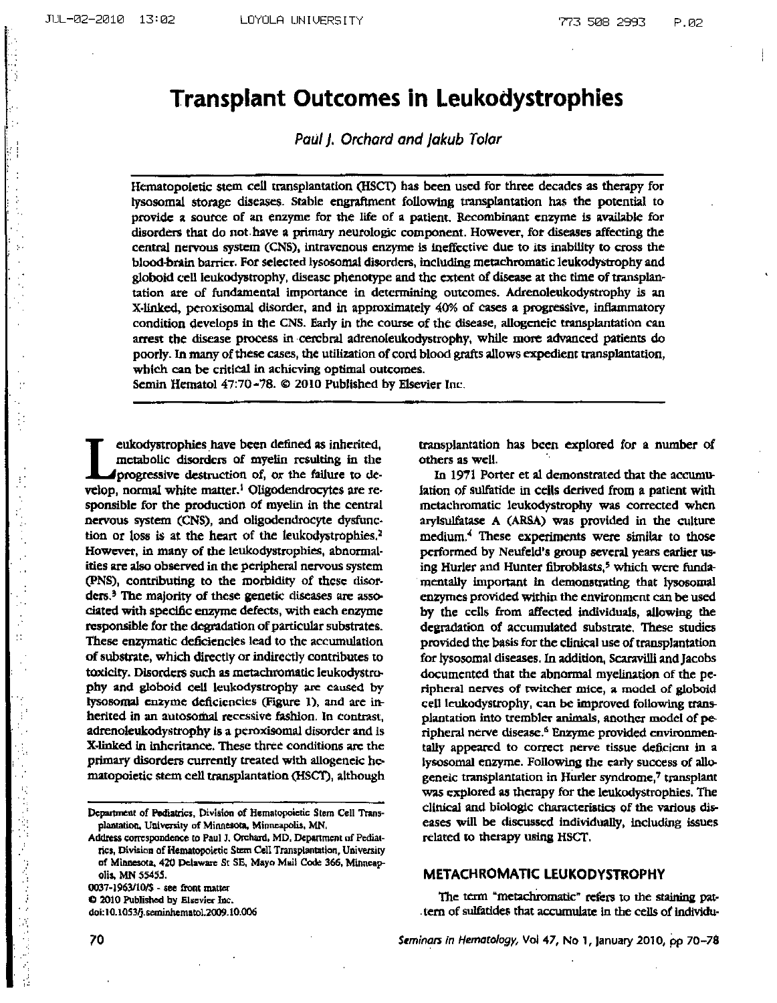# **Transplant Outcomes in Leukodystrophies**

Paul J. Orchard and Jakub Tolar

Hematopoietic stem cell transplantation (HSCT) has been used for three decades as therapy for lysosomal storage diseases. Stable engraftment follOwing transplantation ha~ the potential to provide a source of an enzyme for the life of a patient. Recombinant enzyme is available for disorders that do not. have a primary neurologic component. However, for diseases affecting the central nervous system (CNS), intravenous enzyme Is ineffective due to its inability to cross the blood-brain barrier. For selected lysosomal disorders, including metachromatic leukodystrophy and globoid cell leukodystrophy, disease phenotype and the extent of disease at the time of transplantation are of fundamental importance in determining outcomes. Adrenoleukodystrophy is an X-linked, peroxisomal disorder, and in approximately 40% of cases a progressive, inflammatory condition develops in the CNS. Early in the course of the disease, allogeneic transplantation can arrest the disease process in cercbral adrenoleukodystrophy, while more advanced patients do poorly. In many of these cases, the utilization of cord blood grafts allows expedient transplantation, which can be critical in achieving optimal outcomes.

Semin Hematol 47:70-78. © 2010 Published by Elsevier Inc.

eukodystrophies have been defined as inherited,<br>metabolic disorders of myelin resulting in the<br>progressive destruction of, or the failure to de-<br>velon, normal white matter.<sup>1</sup> Oligodendrocytes are remetabolic disorders of myelin resulting in the progressive destruction of, or the failure to develop, normal white matter.1 Oligodendrocytes are responsible for the productiOn *ot* myelin in the central nervous system (CNS), and oligodendrocyte dysfunction or 1058 is at the heart of the leukodystrophies.' However, in many of the leukodystrophies, abnormalities are also observed in the peripheral nervous system (PNS), contributing to the morbidity of these disorders.<sup>3</sup> The majority of these genetic diseases are associated with specific enzyme defects, with each enzyme responsible for the degradation of particular substrates. These enzymatic deficiencies lead to the accumulation of substrate, which directly or indirectly contributes to toxicity. Disorders such as metachromatic leukodystrophy and globoid cell leukodystrophy are caused by lysosomal enzyme deficiencies (Figure 1), and are inherited in an autosomal recessive fashion. In contrast, adrenoleukodystrophy is a peroxisomal disorder and is X-linked in inheritance. These three conditions are the primary disorders currently treated with allogeneic hematopoietic stem cell transplantation (HSCT), although

0037-1963/10/\$ - see front matter

 $Q$  2010 Published by Elsevier Inc.

doi: 10.1053/j.seminhematol.2009.10.006

.. ,

÷.

transplantation has been explored for a number of others as well. .

In 1971 Porter et aI demonstrated that the accumulation of sulfatide in cells derived from a patient with metachromatic: leukodystrophy was corrected when arylsulfatase A (ARSA) was provided in the culture medium.' These experiments were similar *to* those performed by Neufeld's group several years earlier using Hurler and Hunter fibroblasts,' which were fundamentally important in demonstrating that lysosomal enzymes provided within the environment can be used by the cells from affected individuals, allowing the degradation of accumulated substrate. These studies provided the basis for the clinical use of transplantation for lysosomal diseases. In addition, Scaravilli and Jacobs documented that the abnormal myelination of the peripheral nerves of twitcher mice, a model of globoid cell leukodystrophy, can be improved following transplantation into trembler animals, another model of peripheral nerve disease." Enzyme provided environmen· tally appeared to correct nerve tissue deficient in a lysosomal enzyme. FollOwing the early success of a11ogenelc transplantation in HUrler syndrome,' transplant was explored as therapy for the leukodystrophies. The clinical and biologic characteristics of the various diseases will be discussed individually, including issues related to therapy using HSCT.

#### **METACHROMATIC LEUKODYSTROPHY**

The term "metachromatic" refers to the staining pattern of sulfatides that accumulate in the cells of individu-

Seminars in Hematology, Vol 47, No 1, January 2010, pp 70-78

Department of Pediatrics, Division of Hematopoietic Stem Cell Transplantation, University of Minnesota, Minneapolis. MN.

**Address correspondence [0 Paul J, Orchard, MD, Department Df Pcdial.** rics, Division of Hematopoietic Stem Cell Transplantation, University of Minnesota, 420 Delaware St SE, Mayo Mail Code 366, Minneapolis, MN 55455.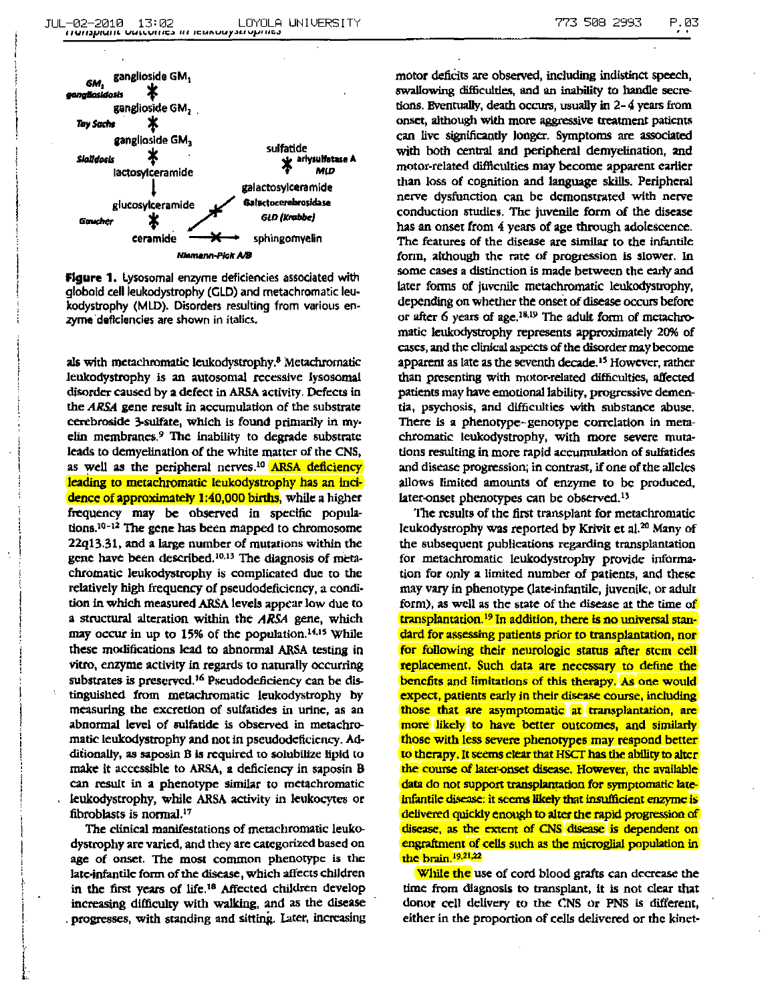

Figure 1. Lysosomal enzyme deficiencies associated with globoid cell leukodystrophy (GLD) and metachromatic leukodystrophy (MLD). Disorders resulting from various enzyme deficiencies are shown in italics.

als with metachromatic leukodystrophy.<sup>8</sup> Metachromatic leukodystrophy is an autosomal recessive lysosomal disorder caused by a defect in ARSA activity. Defects in the ARSA gene result in accumulation of the substrate cerebroside 3-sulfate, which is found primarily in myelin membranes.<sup>9</sup> The inability to degrade substrate leads to demyelination of the white matter of the CNS, as well as the peripheral nerves.<sup>10</sup> ARSA deficiency leading to metachromatic leukodystrophy has an incidence of approximately 1:40,000 births, while a higher frequency may be observed in specific populations.<sup>10-12</sup> The gene has been mapped to chromosome 22q13.31, and a large number of mutations within the gene have been described.<sup>10,13</sup> The diagnosis of metachromatic leukodystrophy is complicated due to the relatively high frequency of pseudodeficiency, a condition in which measured ARSA levels appear low due to a structural alteration within the ARSA gene, which may occur in up to 15% of the population.<sup>14,15</sup> While these modifications lead to abnormal ARSA testing in vitro, enzyme activity in regards to naturally occurring substrates is preserved.<sup>16</sup> Pseudodeficiency can be distinguished from metachromatic leukodystrophy by measuring the excretion of sulfatides in urine, as an abnormal level of sulfatide is observed in metachromatic leukodystrophy and not in pseudodeficiency. Additionally, as saposin B is required to solubilize lipid to make it accessible to ARSA, a deficiency in saposin B can result in a phenotype similar to metachromatic leukodystrophy, while ARSA activity in leukocytes or fibroblasts is normal.<sup>17</sup>

The clinical manifestations of metachromatic leukodystrophy are varied, and they are categorized based on age of onset. The most common phenotype is the late-infantile form of the disease, which affects children in the first years of life.<sup>18</sup> Affected children develop increasing difficulty with walking, and as the disease progresses, with standing and sitting. Later, increasing

motor deficits are observed, including indistinct speech, swallowing difficulties, and an inability to handle secretions. Eventually, death occurs, usually in 2-4 years from onset, although with more aggressive treatment patients can live significantly longer. Symptoms are associated with both central and peripheral demyelination, and motor-related difficulties may become apparent earlier than loss of cognition and language skills. Peripheral nerve dysfunction can be demonstrated with nerve conduction studies. The juvenile form of the disease has an onset from 4 years of age through adolescence. The features of the disease are similar to the infantile form, although the rate of progression is slower. In some cases a distinction is made between the early and later forms of juvenile metachromatic leukodystrophy, depending on whether the onset of disease occurs before or after 6 years of age.<sup>18,19</sup> The adult form of metachromatic leukodystrophy represents approximately 20% of cases, and the clinical aspects of the disorder may become apparent as late as the seventh decade.<sup>15</sup> However, rather than presenting with motor-related difficulties, affected patients may have emotional lability, progressive dementia, psychosis, and difficulties with substance abuse. There is a phenotype-genotype correlation in metachromatic leukodystrophy, with more severe mutations resulting in more rapid accumulation of sulfatides and disease progression; in contrast, if one of the alleles allows limited amounts of enzyme to be produced, later-onset phenotypes can be observed.<sup>13</sup>

The results of the first transplant for metachromatic leukodystrophy was reported by Krivit et al.<sup>20</sup> Many of the subsequent publications regarding transplantation for metachromatic leukodystrophy provide information for only a limited number of patients, and these may vary in phenotype (late-infantile, juvenile, or adult form), as well as the state of the disease at the time of transplantation.<sup>19</sup> In addition, there is no universal standard for assessing patients prior to transplantation, nor for following their neurologic status after stem cell replacement. Such data are necessary to define the benefits and limitations of this therapy. As one would expect, patients early in their disease course, including those that are asymptomatic at transplantation, are more likely to have better outcomes, and similarly those with less severe phenotypes may respond better to therapy. It seems clear that HSCT has the ability to alter the course of later-onset disease. However, the available data do not support transplantation for symptomatic lateinfantile disease: it seems likely that insufficient enzyme is delivered quickly enough to alter the rapid progression of disease, as the extent of CNS disease is dependent on engraftment of cells such as the microglial population in the brain.<sup>19,21</sup>,22

While the use of cord blood grafts can decrease the time from diagnosis to transplant, it is not clear that donor cell delivery to the CNS or PNS is different, either in the proportion of cells delivered or the kinet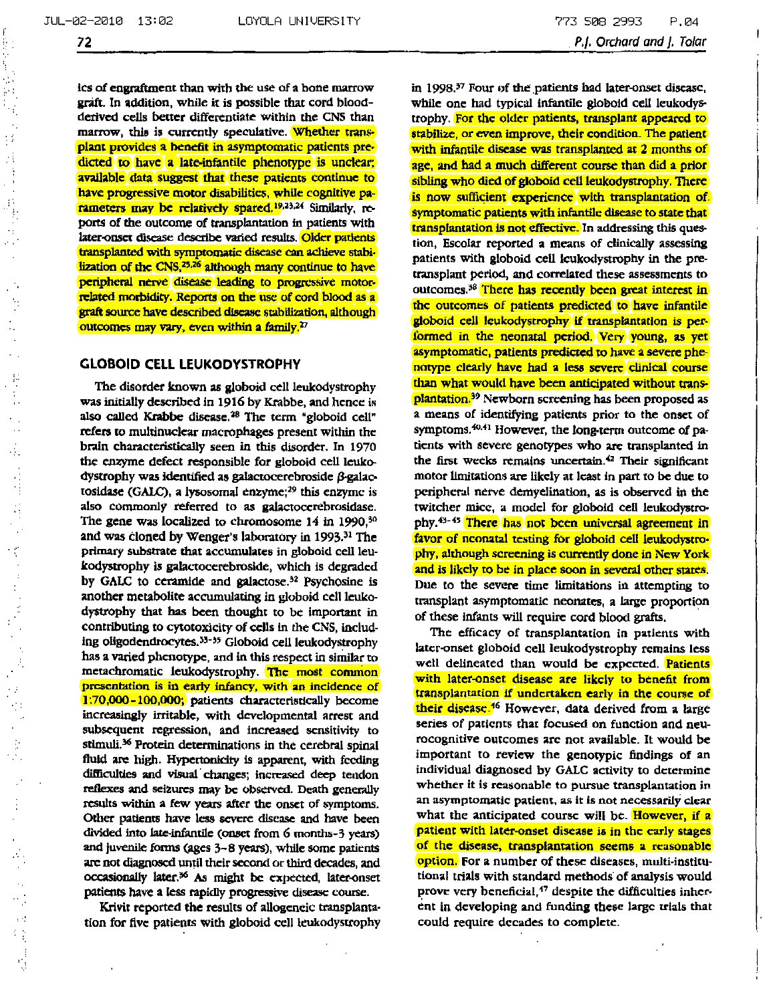72

 $\mathbf{r}$ 

 $\frac{1}{4}$ 

> Ä,  $\bar{ }$  .

书店

 $\bar{\alpha}$  $\frac{1}{2}$ 

Ŕ

K

 $\frac{1}{2}$ 

ţ.

9 

Ics of engraftment than with the use of a bone marrow graft. In addition, while it is possible that cord blooddetived cells better differentiate within the CNS than marrow, this is currently speculative. Whether trans· plant provides a benefit in asymptomatic patients pre· dicted to have a late-infantile phenotype is unclear; avallable data suggest that these patients continue to have progressive motor disabilities, while cognitive parameters may be relatively spared.<sup>19,23,24</sup> Similarly. reports of the outcome of transplantation in patients with later-onset disease describe varied results. Older patients transplanted with symptomatic disease can achieve stabi· lization of the CNS,<sup>25,26</sup> although many continue to have peripheral nerve disease leading to progressive motorrelated morbidity. Reports on the use of cord blood as a graft source have described disease stabilization, although outcomes may vary, even within a family.<sup>27</sup>

#### **GLOBOID CELL LEUKODYSTROPHY**

The disorder known as globoid cell leukodystrophy was initially described in 1916 by Krabbe, and hence is also called Krabbe disease. $^{28}$  The term "globoid cell" refers to multinuclear macrophages present within the brain characteristically seen in this disorder. In 1970 the enzyme defect responsible for globoid cell leukodystrophy was identified as galactocerebroside  $\beta$ -galactosidase (GALC), a lysosomal enzyme;<sup>29</sup> this enzyme is also commonly referred to as galactoccrebrosidase, The gene was localized to chromosome  $14$  in 1990,<sup>30</sup> and was cloned by Wenger's laboratory in 1993.<sup>31</sup> The primary substrate that accumulates in globoid cell leukodystrophy is galactocerebroside, which is degraded by GALC to ceramide and galactose.<sup>32</sup> Psychosine is another metabolite accumulating in globoid cell leukodystrophy that has been thought to be important in contributing to cytotoxicity of cells in the CNS, including oligodendrocytes.<sup>33-35</sup> Globoid cell leukodystrophy has a varied phenotype, and in this respect in similar to metachromatic leukodystrophy. The most common **presentation is in early infancy, With an incidence of**  1:70,000-100,000; patients characteristically become increasingly irritable, with developmental arrest and subsequent regression, and increased sensitivity to stimuli.<sup>36</sup> Protein determinations in the cerebral spinal fluid are high. Hypertonicity is apparent, with feeding difficulties and visual changes; increased deep tendon reflexes and seizures may be observed. Death generally results within a few years after the onset of symptoms. Other patients have less severe disease and have been divided into late-infantile (onset from 6 months-3 years) and juvenile forms (ages 3-8 years), while some patients are not diagnosed until their second or third decades, and occasionally later.<sup>36</sup> As might be expected, later-onset patients have a less rapidly progressive disease course.

Krivit reported the results of allogeneic transplantation for five patients with globoid cell leukodystrophy in 1998. $<sup>37</sup>$  Four of the patients had later-onset disease,</sup> while one had typical infantile globold cell leukodystrophy, For the older patients, transplant appeared to stabilize, or even improve, their condition. The patient with infantile disease was transplanted at 2 months of age, and had a much different course than did a prior sibling who died of globoid cell leukodystrophy. There is now sufficient experience with transplantation of. symptomatic patients with infantile disease to state that transplantation is not effective. In addressing this question, EscoIar reported a means of clinically assessing patients with gioboid cell leukodystrophy in the pretransplant period, and correlated these assessments to outcomes.<sup>38</sup> There has recently been great interest in the outcomes of patients predicted to have infantile globoid cell leukodystrophy if transplantation is per· formed in the neonatal period. Very young, as yet asymptomatic, patients predicted to have a severe phenotype clearly have had a less severe clinical course than what would have been anticipated without transplantation.<sup>39</sup> Newborn screening has been proposed as a means of identifying patients prior to the onset of symptoms.<sup>40,41</sup> However, the long-term outcome of patients with severe genotypes who are transplanted in the first weeks remains uncertain.<sup>42</sup> Their significant motor limitations are likely at least in part to be due to peripheral nerve demyelination, as is observed in the twitcher mice, a model for globoid cell leukodystrophy.<sup>43-45</sup> There has not been universal agreement in favor of neonatal testing for globoid cell leukodystro· phy, although screening is currently done in New York and is likely to be in place soon in several other states. Due to the severe time limitations in attempting to transplant asymptomatic neonates, a large proportion of these Infants Will require cord blood grafts.

The efficacy of transplantation in patients with latcr-onset glohoid cell leukodystrophy remains less well delineated than would be expected. Patients with later-onset disease are likely to benefit from transplantation if undertaken early in the course: of their disease.<sup>46</sup> However, data derived from a large series of patients that focused on function and neurocognitive outcomes arc not avallable. It would be important to review the genotypic findings of an individual diagnosed by GALC activity to determine whether it is reasonable to pursue transplantation in **an asymptomatic patient, as it is not necessarily clear**  what the anticipated course will be. However, if a patient with later-onset disease is in the early stages of the disease, transplantation seems a reasonable option. For a number of these diseases, multi-institutional trials with standard methods of analysis would prove very beneficial,<sup>47</sup> despite the difficulties inherent in developing and funding these large trials that could require decades to complete\_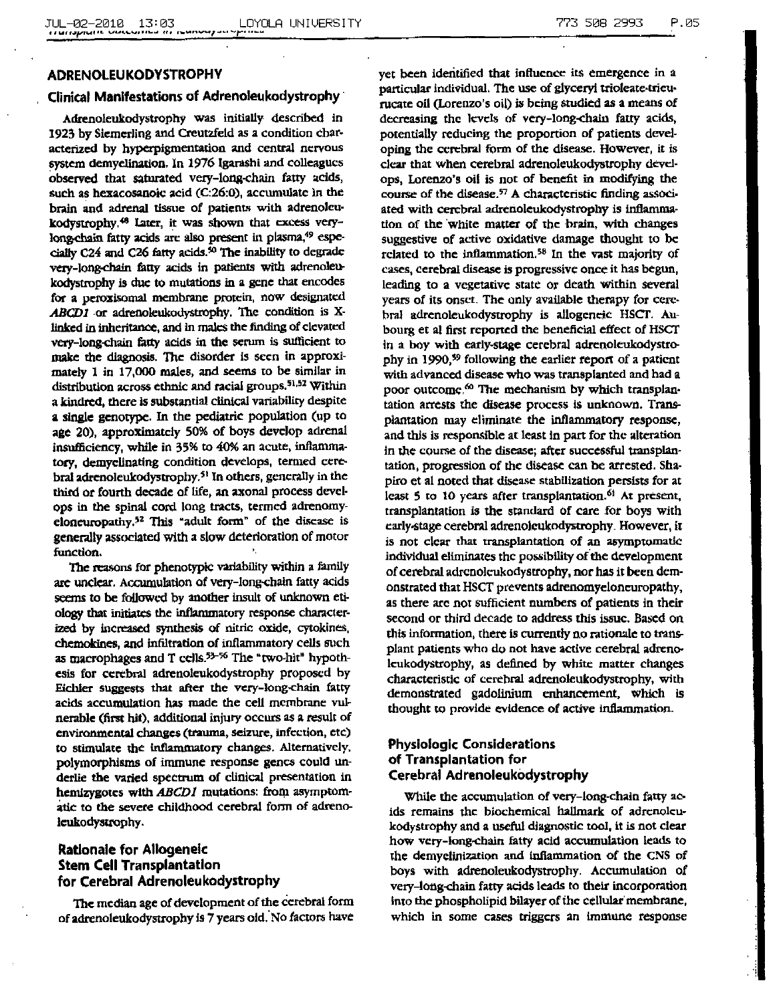## **ADRENOLEUKODYSTROPHY**

## Clinical Manifestations of Adrenoleukodystrophy

Adrenoleukodystrophy was initially described in 1923 by Siemerling and Creutzfeld as a condition characterized by hyperpigmentation and central nervous system demvelination. In 1976 Igarashi and colleagues observed that saturated very-long-chain fatty acids, such as hexacosanoic acid (C:26:0), accumulate in the brain and adrenal tissue of patients with adrenoleukodystrophy.<sup>48</sup> Later, it was shown that excess verylong-chain fatty acids are also present in plasma,<sup>49</sup> especially C24 and C26 fatty acids.<sup>50</sup> The inability to degrade very-long-chain fatty acids in patients with adrenoleukodystrophy is due to mutations in a gene that encodes for a peroxisomal membrane protein, now designated ABCD1 or adrenoleukodystrophy. The condition is Xlinked in inheritance, and in males the finding of clevated very-long-chain fatty acids in the serum is sufficient to make the diagnosis. The disorder is seen in approximately 1 in 17,000 males, and seems to be similar in distribution across ethnic and racial groups.<sup>51,52</sup> Within a kindred, there is substantial clinical variability despite a single genotype. In the pediatric population (up to age 20), approximately 50% of boys develop adrenal insufficiency, while in 35% to 40% an acute, inflammatory, demyclinating condition develops, termed cerebral adrenoleukodystrophy.<sup>51</sup> In others, generally in the third or fourth decade of life, an axonal process develops in the spinal cord long tracts, termed adrenomyeloneuropathy.<sup>52</sup> This "adult form" of the discase is generally associated with a slow deterioration of motor function.

The reasons for phenotypic variability within a family are unclear. Accumulation of very-long-chain fatty acids seems to be followed by another insult of unknown etiology that initiates the inflammatory response characterized by increased synthesis of nitric oxide, cytokines, chemokines, and infiltration of inflammatory cells such as macrophages and T cells.53-56 The "two-hit" hypothesis for cerebral adrenoleukodystrophy proposed by Eichler suggests that after the very-long-chain fatty acids accumulation has made the cell membrane vulnerable (first hit), additional injury occurs as a result of environmental changes (trauma, seizure, infection, etc) to stimulate the inflammatory changes. Alternatively, polymorphisms of immune response gencs could underlie the varied spectrum of clinical presentation in hemizygotes with ABCD1 mutations: from asymptomatic to the severe childhood cerebral form of adrenoleukodystrophy.

## Rationale for Allogeneic **Stem Cell Transplantation** for Cerebral Adrenoleukodystrophy

The median age of development of the cerebral form of adrenoleukodystrophy is 7 years old. No factors have

yet been identified that influence its emergence in a particular individual. The use of glyceryi trioleate-trieurucate oil (Lorenzo's oil) is being studied as a means of decreasing the levels of very-long-chain fatty acids, potentially reducing the proportion of patients developing the cerebral form of the disease. However, it is clear that when cerebral adrenoleukodystrophy develops, Lorenzo's oil is not of benefit in modifying the course of the disease.<sup>57</sup> A characteristic finding associated with cerebral adrenoleukodystrophy is inflammation of the white matter of the brain, with changes suggestive of active oxidative damage thought to be related to the inflammation.<sup>58</sup> In the vast majority of cases, cerebral disease is progressive once it has begun, leading to a vegetative state or death within several years of its onset. The only available therapy for cerebral adrenoleukodystrophy is allogeneic HSCT. Aubourg et al first reported the beneficial effect of HSCT in a boy with early-stage cerebral adrenoleukodystrophy in 1990,<sup>59</sup> following the earlier report of a patient with advanced disease who was transplanted and had a poor outcome.<sup>60</sup> The mechanism by which transplantation arrests the disease process is unknown. Transplantation may eliminate the inflammatory response, and this is responsible at least in part for the alteration in the course of the disease; after successful transplantation, progression of the disease can be arrested. Shapiro et al noted that disease stabilization persists for at least 5 to 10 years after transplantation.<sup>61</sup> At present, transplantation is the standard of care for boys with carly-stage cerebral adrenoleukodystrophy. However, it is not clear that transplantation of an asymptomatic individual eliminates the possibility of the development of cerebral adrenoleukodystrophy, nor has it been demonstrated that HSCT prevents adrenomyeloneuropathy, as there are not sufficient numbers of patients in their second or third decade to address this issue. Based on this information, there is currently no rationale to transplant patients who do not have active cerebral adrenoleukodystrophy, as defined by white matter changes characteristic of cerebral adrenoleukodystrophy, with demonstrated gadolinium enhancement, which is thought to provide evidence of active inflammation.

## **Physiologic Considerations** of Transplantation for Cerebral Adrenoleukodystrophy

While the accumulation of very-long-chain fatty acids remains the biochemical hallmark of adrenoleukodystrophy and a useful diagnostic tool, it is not clear how very-long-chain fatty acid accumulation leads to the demyelinization and inflammation of the CNS of boys with adrenoleukodystrophy. Accumulation of very-long-chain fatty acids leads to their incorporation into the phospholipid bilayer of the cellular membrane, which in some cases triggers an immune response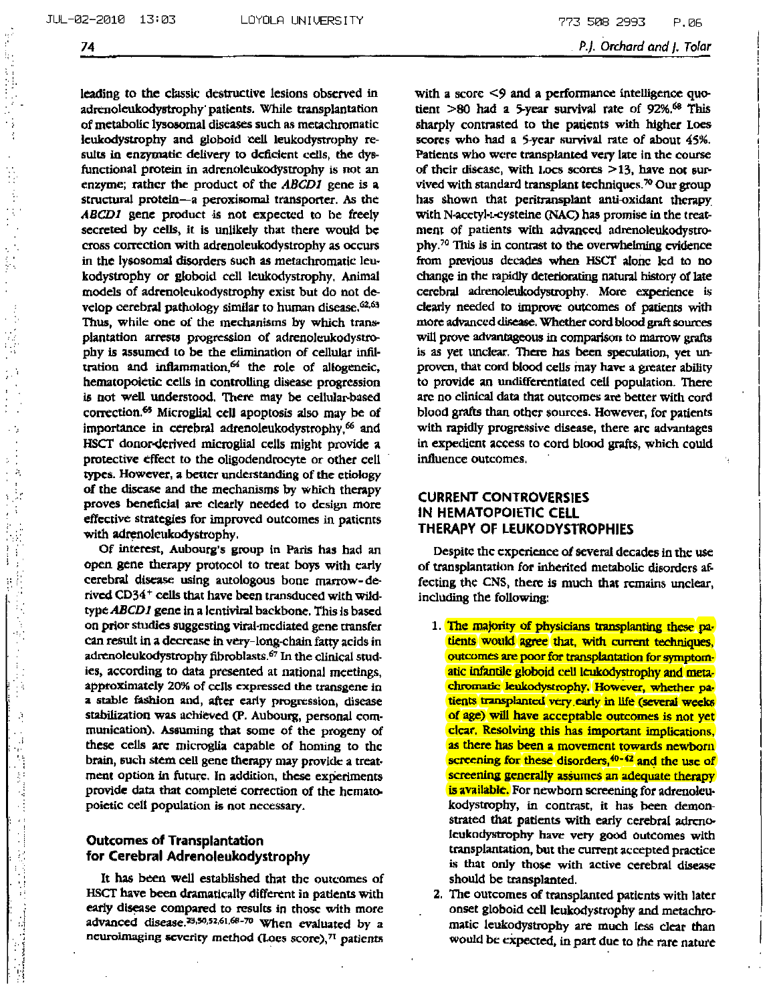. :

 $\cdot$  :  $\cdot$  :

:' "

.:,'

':.

 $\ddot{\cdot}$ 

. . . ,!

leading to the dassic destructive lesions observed in adrenoleukodystrophy' patients. While transplantation of metabolic lysoaomal diseases such as metachromatic leukodystrophy and globoid cell leukodystrophy results in enzymatic delivery to deficient cells, the dysfunctional protein in adrenoleukodystrophy is not an enzyme; rather the product of the *ABCDI* gene is a structural protein-a peroxisomal transporter. As the ABCD1 gene product is not expected to be freely secreted by cells, it is unlikely that there would be cross correction with adrenolc:ukodystrophy as occurs in the lysosomal disorders such as metachromatic leukodystrophy or globoid cell leukodystrophy. Animal models of adrenoleukodystrophy exist but do not develop cerebral pathology similar to human disease.<sup>62,63</sup> Thus, while one of the mechanisms by which transplantation arrests progression of adrenoleukodysttophy is assumed to be the elimination of cellular infiltration and inflammation,<sup>64</sup> the role of allogeneic, hematopoietic cells in controlling disease progression is not well understood. There may be cellular-based correction.<sup>65</sup> Microglial cell apoptosis also may be of importance in cerebral adrenoleukodystrophy,<sup>66</sup> and HSCT donor-derived microglial cells might provide a protective effect to the oligodendrocyte or other cell types. However, a better understanding of the etiology of the disease: and the mechanisms by which therapy proves beneficial are clearly needed to design more effective strategies for improved outcomes in patients with adrenoleukodystrophy.

Of interest, Aubourg's group in Paris has had an open gene therapy protocol to treat boys with early cerebral disease USing autologous bone marrow- derived  $CD34<sup>+</sup>$  cells that have been transduced with wildtype *ABCD1* gene in a lentiviral backbone. This is based on prior studies suggesting viral-mediated gene transfer can result in a decrease in very-long-chain fatty acids in adrenoleukodystrophy fibroblasts.<sup>67</sup> In the clinical studies, according to data presented at national meetings, approximately 20% of cells expressed the transgene in a stable fashion and, after early progression, disease stabilization was achieved (P. Aubourg, personal communication). Assuming that some: of the progeny of these cells are microglia capable of honting to the brain, such stem cell gene therapy may provide a treatment option in future. In addition, these experiments provide clata that complete correction of the hematopoietic cell population is not necessary.

#### Outcomes of Transplantation for Cerebral Adrenoleukodystrophy

It has been well established that the outcomes of HSCT have been dramatically different in patients with early disease compared to results in those with more advanced disease.<sup>23,50,52,61,68-70</sup> When evaluated by a ncuroimaging severity method (Loes score),<sup>71</sup> patients

with a score  $\leq$ 9 and a performance intelligence quotient  $>80$  had a 5-year survival rate of 92%.<sup>68</sup> This sharply contrasted to the patients with higher Loes scores who had a 5-year survival rate of about 45%. Patients who were transplanted very late in the course of their disease, with Locs scores  $> 13$ , have not survived with standard transplant techniques.<sup>70</sup> Our group has shown that peritransplant anti-oxidant therapy. with N-acctyl-.-cysteine (NAC) has promise in the treatment of patients with advanced adrenoleukodystrophy.<sup>70</sup> This is in contrast to the overwhelming evidence from previous decades when HSCT alone kd to no change in the rapidly deteriorating natural history of late cercbral adrenoleukodystrophy. More experience is clearly needed to improve outcomes of patients with more advanced disease. Whether cord blood graft sources will prove advantageous in comparison to marrow grafts is as yet unclear. There has been speculation, yet unproven, that cord blood cells may have a greater ability to provide an undifferentiated cell population. There are no clinical data that outcomes are better with cord blood grafts than other sources. However, for patients with rapidly progressive disease, there arc advantages in expedient access to cord blood grafts, which could intluence outcomes.

# CURRENT CONTROVERSIES IN HEMATOPOIETIC CELL THERAPY OF LEUKODYSTROPHIES

Despite the experience of several decades in the use of transplantation for inherited metabolic disorders affecting the CNS, there is much that remains unclear, including the following:

- 1. The majority of physicians transplanting these patients would agree that, with current tcdmiques, outcomes are poor for transplantation for symptomatic infantile globoid cell leukodysttophy and metachromatic leukodystrophy. However, whether patients transplanted very early in life (several weeks of age) will have acceptable outcomes is not yet clcar. Resolving this has important implications, as there has been a movement towards newborn screening for these disorders,<sup>40-42</sup> and the use of screening generally assumes an adequate therapy is available. For newborn screening for adrenoleukodystrophy, in contrast, it has been demonstrated that patients with early cerebral adrcnolcukodystrophy have very good outcomes with transplantation, but the current accepted practice is that only those with active cerebral disease should be transplanted.
- 2. The outcomes of transplanted patients with later onset globoid cell leukodystrophy and metachromatic leukodystrophy are much less clear than would be expected, in part due to the rare nature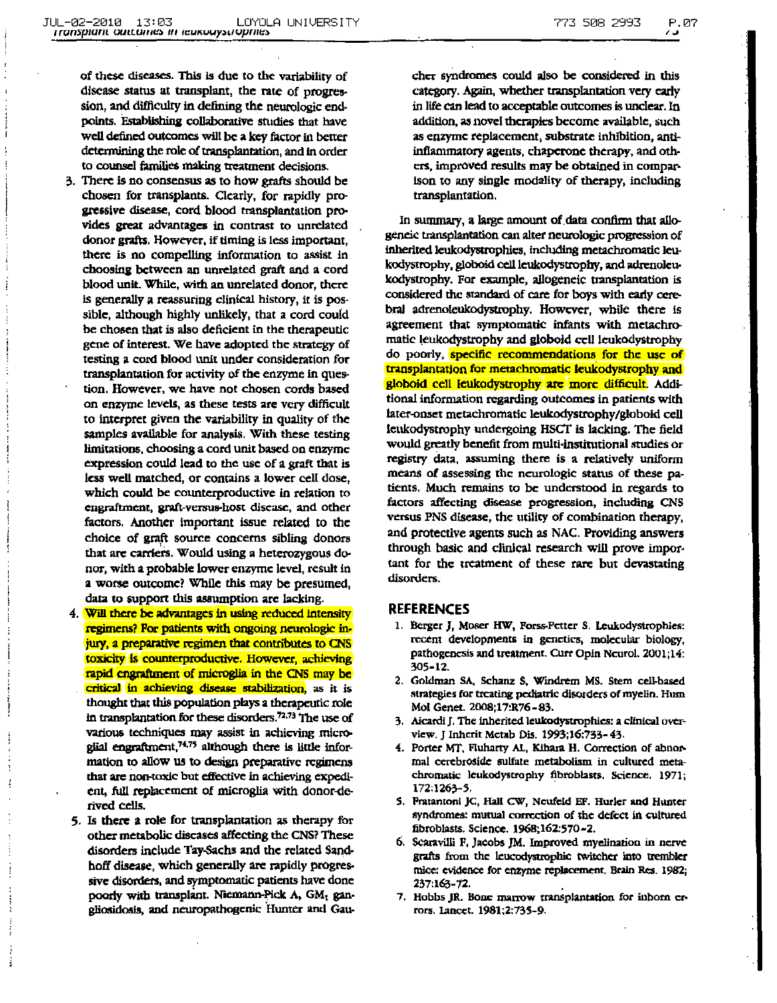of these diseases. This is due to the variability of disease status at transplant, the rate of progression, and difficulty in defining the neurologic endpoints. Establishing collaborative studies that have well defined outcomes will be a key factor in better determining the role of transplantation, and in order to counsel families making treatment decisions.

- 3. There is no consensus as to how grafts should be chosen for transpJants. Clearly, for rapidly progressive disease, cord blood transplantation provides great advantages in contrast to unrelated donor grafts. However, if timing is less important, there is no compelling information to assist in choosing between an unrelated graft and a cord blood unit. White, with an unrelated donor, there is generally a reassuring clinical history, it is possible, although highly unlikely, that a cord could be chosen that is also deficient in the therapeutic gene of interest. We have adopted the Strategy of testing a cord blood unit under consideration for transplantation for activity of the enzyme in question. However, we have not chosen cords based on enzyme levels, as these tests are very difficult to interpret given the variability in quality of the samples available for analysis. With these testing limitations. choosing a cord unit based on enzyme expression could lead to the use of a graft that is less well matched, or contalns a lower cell dose, which could be counterproductive in relation to engraftment, graft-versus-host discase, and other factors. Another important issue related to the choice of graft source concerns sibling donor. that are carriers. Would using a heterozygous donor, with a probable lower enzyme level, result in a worse outcome? While this may be presumed, data to support this assumption are lacking.
- 4. Will there be advantages in using reduced intensity regimens? For patients with ongoing neurologic in. jury, a preparative regimen that contributes to CNS toxicity is counterproductive. However, achieving rapid engraftment of microglia in the CNS may be critical in achieving disease stabilization, as it is thought that this population plays a therapeutic role in transplantation for these disorders. $72.73$  The use of various techniques may assist in achieving microglial engraftment,<sup>74,75</sup> although there is little information to allow us to design preparative regimens that are non-toxlc but effective in achieving expedient, full replacement of microglia with donor-derived cells.
- 5. Is there a role for transplantation as the rapy for other metabolic discases affecting the CNS? These disorders include Tay-Sachs and the related Sand· hoff disease, which generally are rapidly progressive disorders, and symptomatic patients have done poorly with transplant. Niemann-Pick A, GM1 gangliosidosis, and neuropathogcnic 'Hunter and Gau-

cher syndromes could also be considered in this category. Again, whether transplantation very early in life can lead to acceptable outcomes is unclear. In addition, as novel therapies become available, such as enzyme replacement, substrate inhibition, antiinflammatory agents, chaperone therapy, and oth· ers. improved results may be obtained in comparison to any single modality of therapy, including transplantation.

In summary, a large amount of. dara confum that allogeneic transplantation can alter neurologic progression of inherited lcukodysuophics, including metachromatic leukodystrophy, globoid cell leukodystrophy, and adrenoicukodystrophy. For example, allogeneic transplantation is considered the standard of care for boys with early cerebral adrenoleukodystrophy. However, wbile there is agreement that symptomatic infants with metachromatic leukodystrophy and g1oboid ccllieukodystrophy do poorly, specific recommendations for the use of transplantation for metachromatic leukodystrophy and globoid cell leukodystrophy are more difficult. Additional information regarding outcomes in patients with later-onset metachromatic leukodystrophy/globoid cell leukodystrophy undergoing HSCf is lacking. The field would greatly benefit from multi-institutional studies or registry data, assuming there is a relatively uniform means of assessing the neurologic status of these patients. Much remains to be understood in regards to factors affecting disease progression, including CNS versus PNS disease, the utility of combination therapy, and protective agents such as NAC. PrOviding answers through basic and clinical research will prove impor· tant for the treatment of these rare but devastating disorders.

#### **REFERENCES**

- 1. Berger J, Moser HW, Forss-Petter S. Leukodystrophies: recent developments in genetics, molecular biology, pathogenesis and treatment. Curr Opin Neurol. 2001;14: 305-12.
- 2. Goldman SA, Schanz S, Windrem MS. Stem cell-based strategies for treating pediatric disorders of myelin. Hum Mol Genet. 200s,17:R76-83.
- 3. Aleardi J. The inherited leukodystrophies: a clinical overview. ] Inherit MeIKb Dis. 1993,16:733- 43.
- 4. Porter MT. Fluharty AL, Klhara H. Correction of abnormal cerebroside sulfate metabolism in cultured metachromatic leukodystrophy fibroblasts. Science. 1971; 172,1263-5.
- 5. Fratantoni JC, Hall CW, Neufeld EF. Hurler and Hunter syndromes: mutual correction of the defect in cultured fibroblasts. Science. 1968;162:570-2.
- 6. Scaravilli F. Jacobs 1M. Improved myellnation in nerve grafts from the leucodystrophic twitcher into trembler mice: eVidence for enzyme replacement. BraIn Res. 1982, 237:160-12.
- 7. **Hobbs JR. Bone: marrow tranSplantation for inbom er**rors. Lancet. 1981;2:735-9.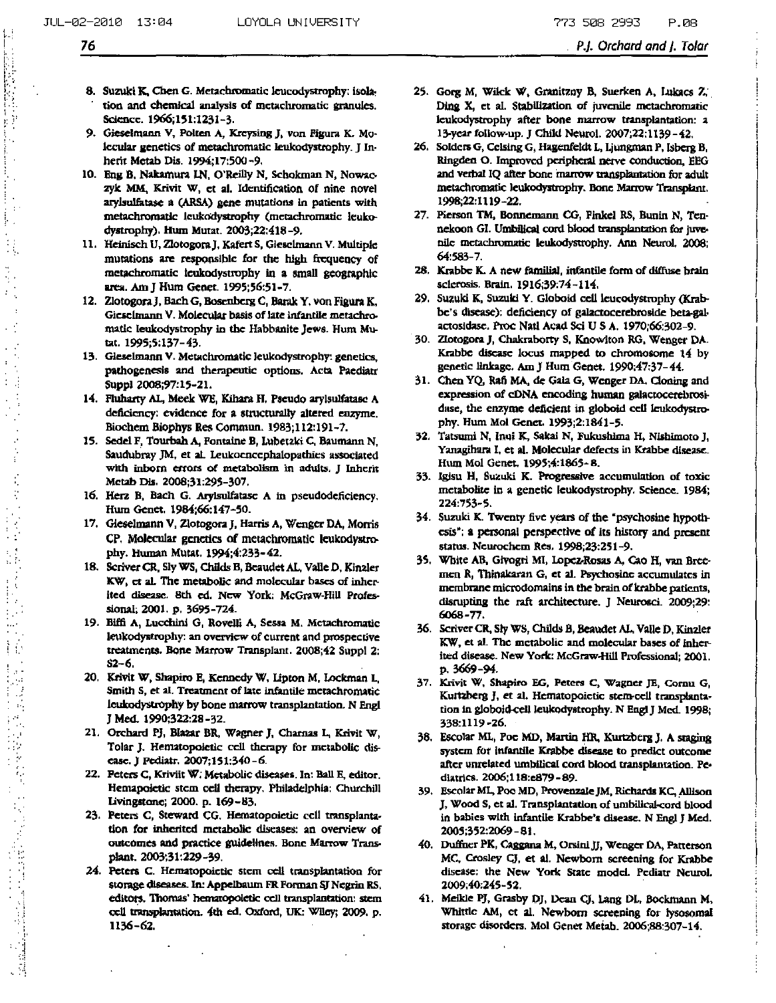JUL-02-2010 13:04

- 8. Suzuki K. Chen G. Metachromatic leucodystrophy; isolation and chemical analysis of metachromatic granules. Science. 1966:151:1231-3.
- 9. Gieselmann V, Polten A, Kreysing J, von Figura K. Molecular genetics of metachromatic leukodystrophy. J Inherit Metab Dis. 1994;17:500-9.
- 10. Eng B, Nakamura IN, O'Reilly N, Schokman N, Nowaczyk MM, Krivit W, ct al. Identification of nine novel arvisulfatase a (ARSA) gene mutations in patients with metachromatic leukodystrophy (metachromatic leukodystrophy). Hum Mutat. 2003;22:418-9.
- 11. Heinisch U, Zlotogora J, Kafert S, Gieselmann V. Multiple mutations are responsible for the high frequency of metachromatic icukodystrophy in a small geographic area. Am J Hum Genet. 1995;56:51-7.
- 12. Zlotogora J, Bach G, Bosenberg C, Barak Y. von Figura K, Gicselmann V. Molecular basis of late infantile metachromatic leukodystrophy in the Habbanite Jews. Hum Mutat. 1995:5:137-43.
- 13. Gleselmann V. Metachromatic leukodystrophy: genetics, pathogenesis and therapeutic options. Acta Paediatr Suppl 2008;97:15-21.
- 14. Fluharty AL, Meek WE, Kihara H. Pseudo arylsulfatase A deficiency: evidence for a structurally altered enzyme. Biochem Biophys Res Commun. 1983;112:191-7.
- 15. Sedel F, Tourbah A, Fontaine B, Lubetzki C, Baumann N, Saudubray JM, et al. Leukocncephalopathics associated with inborn errors of metabolism in adults. J Inherit Metab Dis. 2008;31:295-307.
- 16. Herz B, Bach G. Arylsulfatase A in pseudodeficiency. Hum Genet. 1984;66:147-50.
- 17. Gieselmann V, Zlotogora J, Harris A, Wenger DA, Morris CP. Molecular genetics of metachromatic leukodystrophy. Human Mutat. 1994;4:233-42.
- 18. Scriver CR, Sly WS, Childs B, Beaudet AL, Valle D, Kinzler KW, et al. The metabolic and molecular bases of inherited disease. 8th ed. New York; McGraw-Hill Professional; 2001. p. 3695-724.
- 19. Biffi A, Lucchini G, Rovelli A, Sessa M. Metachromatic leukodystrophy: an overview of current and prospective treatments. Bone Marrow Transplant. 2008;42 Suppl 2:  $S2 - 6.$
- 20. Krivit W, Shapiro E, Kennedy W, Lipton M, Lockman L, Smith S, et al. Treatment of late infantile metachromatic leukodystrophy by bone marrow transplantation. N Engl J Med. 1990;322:28-32.
- 21. Orchard PJ, Blazar BR, Wagner J, Charnas L, Krivit W, Tolar J. Hematopoietic cell therapy for metabolic discase. J Pediatr. 2007;151:340-6.
- 22. Peters C, Kriviit W. Metabolic diseases. In: Ball E, editor. Hemapoietic stem cell therapy. Philadelphia: Churchill Livingstone; 2000. p. 169-83.
- 23. Peters C, Steward CG. Hematopoietic cell transplantation for inherited metabolic diseases: an overview of outcomes and practice guidelines. Bone Marrow Transplant. 2003;31:229-39.
- 24. Peters C. Hematopoietic stem cell transplantation for storage diseases. In: Appelbaum FR Forman SJ Negrin RS, editors. Thomas' hematopoietic cell transplantation: stem cell transplantation. 4th ed. Oxford, UK: Wiley; 2009. p. 1136-62.

- 25. Gorg M. Wilck W. Granitzny B. Suerken A. Lukacs Z. Ding X, et al. Stabilization of invenile metachromatic leukodystrophy after bone marrow transplantation: a 13-year follow-up. J Child Neurol. 2007;22:1139-42.
- 26. Solders G, Celsing G, Hagenfeldt L, Ljungman P, Isberg B, Ringden O. Improved peripheral nerve conduction, EEG and verbal IQ after bone marrow transplantation for adult metachromatic leukodystrophy. Bone Marrow Transplant. 1998;22:1119-22.
- 27. Pierson TM, Bonnemann CG, Finkel RS, Bunin N, Tennekoon GI. Umbilical cord blood transplantation for juvenile metachromatic leukodystrophy. Ann Neurol. 2008; 64:583-7.
- 28. Krabbe K. A new familial, infantile form of diffuse brain sclerosis. Brain. 1916;39:74-114.
- 29. Suzuki K, Suzuki Y. Globoid cell leucodystrophy (Krabbe's disease): deficiency of galactocerebroside beta-galactosidase. Proc Natl Acad Sci U S A. 1970;66:302-9.
- 30. Zlotogora J, Chakraborty S, Knowlton RG, Wenger DA. Krabbe disease locus mapped to chromosome 14 by genetic linkage. Am J Hum Genet. 1990;47:37-44.
- 31. Chen YQ, Rafi MA, de Gala G, Wenger DA. Cloning and expression of cDNA encoding human galactocerebrosidase, the enzyme deficient in globoid cell leukodystrophy. Hum Mol Genet. 1993;2:1841-5.
- 32. Tatsumi N, Inui K, Sakai N, Fukushima H, Nishimoto J, Yanagihara I, et al. Molecular defects in Krabbe disease. Hum Mol Genet, 1995;4:1865-8.
- 33. Igisu H, Suzuki K. Progressive accumulation of toxic metabolite in a genetic leukodystrophy. Science. 1984; 224:753-5.
- 34. Suzuki K. Twenty five years of the "psychosine hypothesis": a personal perspective of its history and present status. Neurochem Res. 1998;23:251-9.
- 35. White AB, Givogri MI, Lopez-Rosas A, Cao H, van Breemen R, Thinakaran G, et al. Psychosine accumulates in membrane microdomains in the brain of krabbe patients, disrupting the raft architecture. J Neurosci. 2009;29: 6068-77.
- 36. Scriver CR, Sly WS, Childs B, Beaudet AL, Valle D, Kinzler KW, et al. The metabolic and molecular bases of inherited disease. New York: McGraw-Hill Professional; 2001. p. 3669-94.
- 37. Krivit W, Shapiro EG, Peters C, Wagner JE, Cornu G, Kuttzberg J, et al. Hematopoietic stem-cell transplantation in globoid-cell leukodystrophy. N Engl J Med. 1998; 338:1119-26.
- 38. Escolar ML, Poe MD, Martin HR, Kurtzberg J. A staging system for infantile Krabbe disease to predict outcome after unrelated umbilical cord blood transplantation. Pediatrics. 2006;118:e879-89.
- 39. Escolar ML, Poe MD, Provenzale JM, Richards KC, Allison J, Wood S, et al. Transplantation of umbilical-cord blood in babies with infantile Krabbe's disease. N Engl J Med. 2005;352:2069-81.
- 40. Duffner PK, Caggana M, Orsini JJ, Wenger DA, Patterson MC, Crosley CJ, et al. Newborn screening for Krabbe disease: the New York State model. Pediatr Neurol. 2009:40:245-52.
- 41. Meikle PJ, Grasby DJ, Dean CJ, Lang DL, Bockmann M, Whittle AM, et al. Newborn screening for lysosomal storage disorders. Mol Genet Metab. 2006;88:307-14.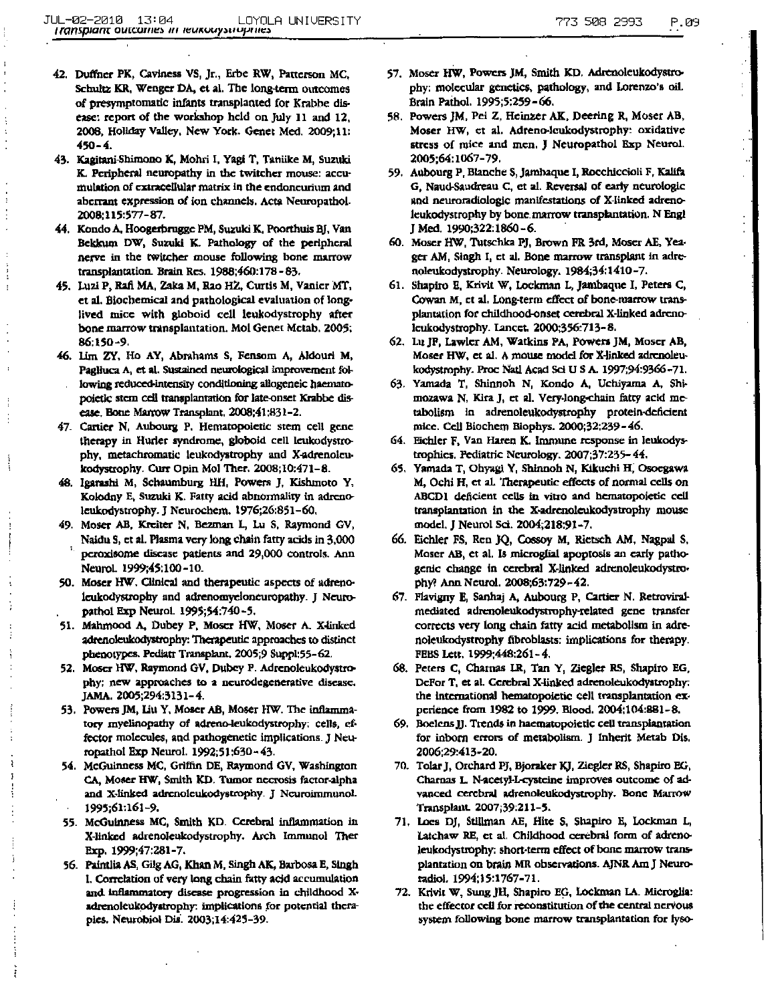- 42. Duffner PK, Caviness VS, Jr., Erbe RW, Patterson MC, Schultz KR, Wenger DA, et al. The long-term outcomes of presymptomatic infants transplanted for Krabbe disease; report of the workshop held on July 11 and 12. 2008. Holiday Valley, New York. Genet Med. 2009:11:  $450 - 4$
- 43. Kagitani-Shimono K, Mohri I, Yagi T, Taniike M, Suzuki K. Peripheral neuropathy in the twitcher mouse: accumulation of extracellular matrix in the endoneurium and aberrant expression of ion channels. Acta Neuropathol. 2008:115:577-87.
- 44. Kondo A, Hoogerbrugge PM, Suzuki K, Poorthuis BJ, Van Bekkum DW, Suzuki K. Pathology of the peripheral nerve in the twitcher mouse following bone marrow transplantation. Brain Res. 1988:460:178-83.
- 45. Luzi P, Rafi MA, Zaka M, Rao HZ, Curtis M, Vanier MT, et al. Biochemical and pathological evaluation of longlived mice with globoid cell leukodystrophy after bone marrow transplantation. Mol Genet Metab, 2005; 86:150-9.
- 46. Lim ZY, Ho AY, Abrahams S, Fensom A, Aldouri M, Pagliuca A, et al. Sustained neurological improvement following reduced-intensity conditioning allogeneic haematopoietic stem cell transplantation for late-onset Krabbe disease. Bone Marrow Transplant, 2008;41:831-2.
- 47. Cartier N, Aubourg P. Hematopoietic stem cell gene therapy in Hurler syndrome, globoid cell leukodystrophy, metachromatic leukodystrophy and X-adrenoleukodystrophy. Curr Opin Mol Ther. 2008;10:471-8.
- 48. Igarashi M, Schaumburg HH, Powers J, Kishmoto Y, Kolodny E, Suzuki K. Fatty acid abnormality in adrenoleukodystrophy. J Neurochem. 1976;26:851-60.
- 49. Moser AB, Kreiter N, Bezman L, Lu S, Raymond GV, Naidu S, et al. Plasma very long chain fatty acids in 3,000 peroxisome disease patients and 29,000 controls. Ann Neurol. 1999;45:100-10.
- 50. Moser HW, Clinical and therapeutic aspects of adrenoleukodystrophy and adrenomyeloneuropathy. J Neuropathol Exp Neurol. 1995;54:740-5.
- 51. Mahmood A, Dubey P, Moscr HW, Moser A. X-linked adrenoleukodystrophy: Therapeutic approaches to distinct phenotypes. Pediatr Transplant. 2005;9 Suppl:55-62.
- 52. Moser HW, Raymond GV, Dubey P. Adrenoleukodystrophy: new approaches to a neurodegenerative disease. JAMA. 2005;294:3131-4.
- 53. Powers JM, Liu Y, Moser AB, Moser HW. The inflammatory myelinopathy of adreno-leukodystrophy: cells, effector molecules, and pathogenetic implications. J Neuropathol Exp Neurol. 1992;51;630-43.
- 54. McGuinness MC, Griffin DE, Raymond GV, Washington CA, Moser HW, Smith KD. Tumor necrosis factor-alpha and X-linked adrenoleukodystrophy. J Neuroimmunol. 1995;61:161-9.
- 55. McGuinness MC, Smith KD. Corebral inflammation in X-linked adrenoleukodystrophy. Arch Immunol Ther Exp. 1999:47:281-7.
- 56. Paintlia AS, Gilg AG, Khan M, Singh AK, Barbosa E, Singh I. Correlation of very long chain fatty acid accumulation and inflammatory disease progression in childhood Xadrenoleukodystrophy: implications for potential therapics. Neurobiol Dis. 2003;14:425-39.
- 57. Moser HW, Powers JM, Smith KD. Adrenoleukodystrophy: molecular genetics, pathology, and Lorenzo's oil. Brain Pathol. 1995:5:259-66.
- 58. Powers JM, Pei Z, Heinzer AK, Deering R, Moser AB, Moser HW, ct al. Adreno-leukodystrophy: oxidative stress of mice and men. I Neuropathol Exp Neurol. 2005:64:1067-79.
- 59. Aubourg P. Blanche S. Jambaque I, Rocchiccioli F. Kalifa G. Naud-Saudreau C, et al. Reversal of early neurologic and neuroradiologic manifestations of X-linked adrenoleukodystrophy by bone marrow transplantation. N Engl J Med. 1990:322:1860-6.
- 60. Moser HW, Tutschka PJ, Brown FR 3rd, Moser AE, Yeager AM, Singh I, et al. Bone marrow transplant in adrenoleukodystrophy Neurology. 1984;34:1410-7.
- 61. Shapiro E. Krivit W, Lockman L. Jambaque I, Peters C, Cowan M. et al. Long-term effect of bone-marrow transplantation for childhood-onset cerebral X-linked adrenoleukodystrophy. Lancet. 2000:356:713-8.
- 62. Lu JF, Lawler AM, Watkins PA, Powers JM, Moser AB, Moser HW, ct al. A mouse model for X-linked adrenoleukodystrophy. Proc Natl Acad Sci U S A. 1997;94:9366-71.
- 63. Yamada T, Shinnoh N, Kondo A, Uchiyama A, Shimozawa N, Kira J, et al. Very-long-chain fatty acid metabolism in adrenoleukodystrophy protein-deficient mice. Cell Biochem Biophys. 2000;32;239-46.
- 64. Eichler F. Van Haren K. Immune response in leukodystrophics, Pediatric Neurology. 2007;37:235-44.
- 65. Yamada T, Ohyagi Y, Shinnoh N, Kikuchi H, Osoegawa M, Ochi H, et al. Therapeutic effects of normal cells on ABCD1 deficient cells in vitro and hematopoietic cell transplantation in the X-adrenoleukodystrophy mouse model. J Neurol Sci. 2004;218:91-7.
- 66. Eichler FS, Ren JQ, Cossoy M, Rietsch AM, Nagpal S, Moser AB, et al. Is microglial apoptosis an early pathogenic change in cerebral X-linked adrenoleukodystrophy? Ann Neurol. 2008;63:729-42.
- 67. Flavigny E, Sanhaj A, Aubourg P, Cartier N. Retroviralmediated adrenoleukodystrophy-related gene transfer corrects very long chain fatty acid metabolism in adrenoleukodystrophy fibroblasts: implications for therapy. FEBS Lett. 1999;448:261-4.
- 68. Peters C, Charnas I.R, Tan Y, Ziegler RS, Shapiro EG, DeFor T, et al. Cerebral X-linked adrenoleukodystrophy; the international hematopoietic cell transplantation experience from 1982 to 1999. Blood. 2004;104:881-8.
- 69. Boelens JJ. Trends in haematopoietic cell transplantation for inborn errors of metabolism. J Inherit Metab Dis. 2006;29:413-20.
- 70. Tolar J, Orchard PJ, Bjoraker KJ, Ziegler RS, Shapiro EG, Charnas L. N-acetyl-L-cysteine improves outcome of advanced cerebral adrenoleukodystrophy. Bone Marrow Transplant. 2007;39:211-5.
- 71. Loes DJ, Stillman AE, Hite S, Shapiro E, Lockman L, Latchaw RE, et al. Childhood cerebral form of adrenoleukodystrophy: short-term effect of bone marrow transplantation on brain MR observations. AJNR Am J Neuroradiol. 1994;15:1767-71.
- 72. Krivit W. Sung JH, Shapiro EG, Lockman LA. Microglia: the effector cell for reconstitution of the central nervous system following bone marrow transplantation for lyso-